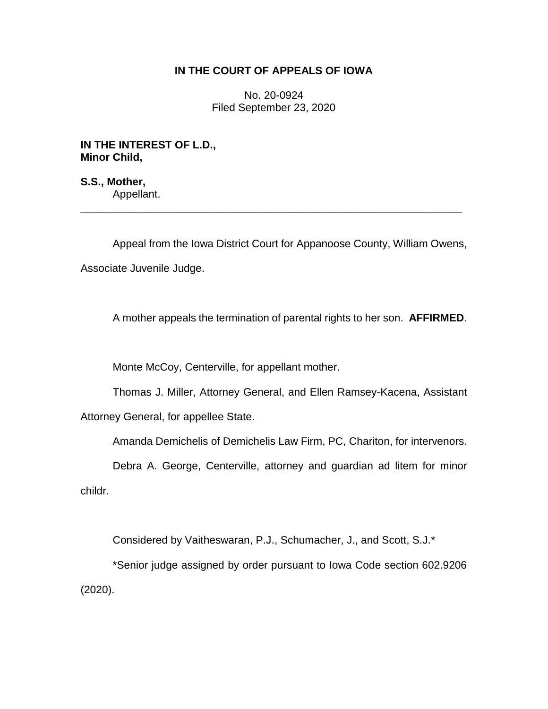# **IN THE COURT OF APPEALS OF IOWA**

No. 20-0924 Filed September 23, 2020

**IN THE INTEREST OF L.D., Minor Child,**

**S.S., Mother,** Appellant.

Appeal from the Iowa District Court for Appanoose County, William Owens, Associate Juvenile Judge.

\_\_\_\_\_\_\_\_\_\_\_\_\_\_\_\_\_\_\_\_\_\_\_\_\_\_\_\_\_\_\_\_\_\_\_\_\_\_\_\_\_\_\_\_\_\_\_\_\_\_\_\_\_\_\_\_\_\_\_\_\_\_\_\_

A mother appeals the termination of parental rights to her son. **AFFIRMED**.

Monte McCoy, Centerville, for appellant mother.

Thomas J. Miller, Attorney General, and Ellen Ramsey-Kacena, Assistant

Attorney General, for appellee State.

Amanda Demichelis of Demichelis Law Firm, PC, Chariton, for intervenors.

Debra A. George, Centerville, attorney and guardian ad litem for minor childr.

Considered by Vaitheswaran, P.J., Schumacher, J., and Scott, S.J.\*

\*Senior judge assigned by order pursuant to Iowa Code section 602.9206 (2020).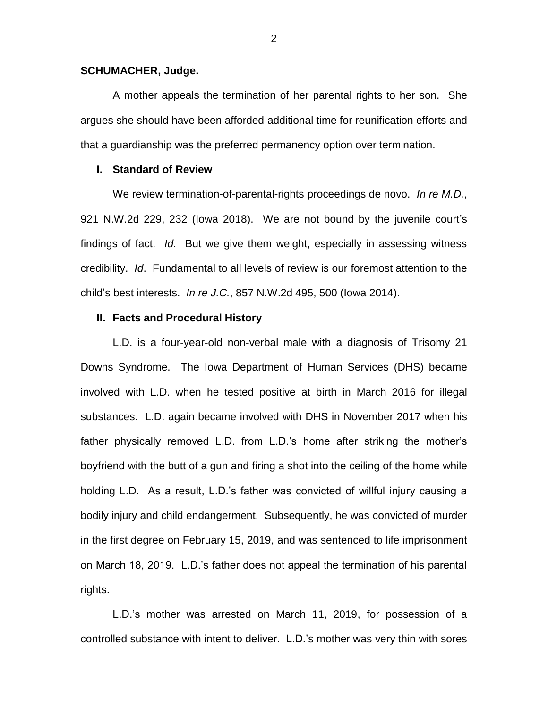### **SCHUMACHER, Judge.**

A mother appeals the termination of her parental rights to her son. She argues she should have been afforded additional time for reunification efforts and that a guardianship was the preferred permanency option over termination.

## **I. Standard of Review**

We review termination-of-parental-rights proceedings de novo. *In re M.D.*, 921 N.W.2d 229, 232 (Iowa 2018). We are not bound by the juvenile court's findings of fact. *Id.* But we give them weight, especially in assessing witness credibility. *Id*. Fundamental to all levels of review is our foremost attention to the child's best interests. *In re J.C.*, 857 N.W.2d 495, 500 (Iowa 2014).

### **II. Facts and Procedural History**

L.D. is a four-year-old non-verbal male with a diagnosis of Trisomy 21 Downs Syndrome. The Iowa Department of Human Services (DHS) became involved with L.D. when he tested positive at birth in March 2016 for illegal substances. L.D. again became involved with DHS in November 2017 when his father physically removed L.D. from L.D.'s home after striking the mother's boyfriend with the butt of a gun and firing a shot into the ceiling of the home while holding L.D. As a result, L.D.'s father was convicted of willful injury causing a bodily injury and child endangerment. Subsequently, he was convicted of murder in the first degree on February 15, 2019, and was sentenced to life imprisonment on March 18, 2019. L.D.'s father does not appeal the termination of his parental rights.

L.D.'s mother was arrested on March 11, 2019, for possession of a controlled substance with intent to deliver. L.D.'s mother was very thin with sores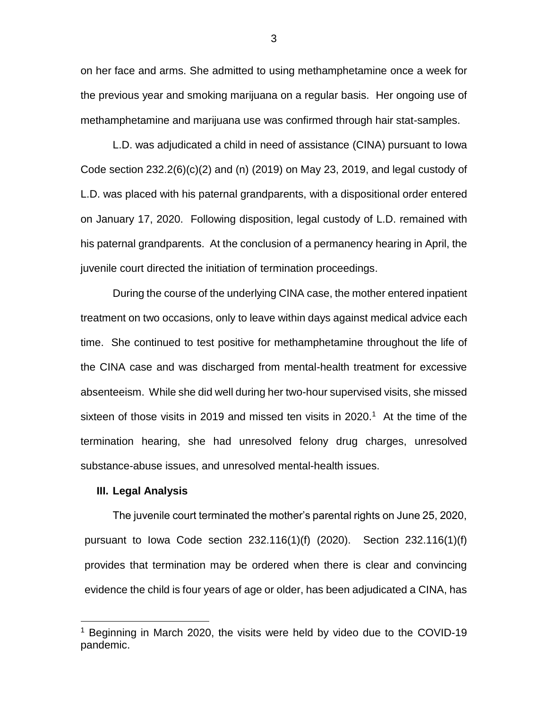on her face and arms. She admitted to using methamphetamine once a week for the previous year and smoking marijuana on a regular basis. Her ongoing use of methamphetamine and marijuana use was confirmed through hair stat-samples.

L.D. was adjudicated a child in need of assistance (CINA) pursuant to Iowa Code section 232.2(6)(c)(2) and (n) (2019) on May 23, 2019, and legal custody of L.D. was placed with his paternal grandparents, with a dispositional order entered on January 17, 2020. Following disposition, legal custody of L.D. remained with his paternal grandparents. At the conclusion of a permanency hearing in April, the juvenile court directed the initiation of termination proceedings.

During the course of the underlying CINA case, the mother entered inpatient treatment on two occasions, only to leave within days against medical advice each time. She continued to test positive for methamphetamine throughout the life of the CINA case and was discharged from mental-health treatment for excessive absenteeism. While she did well during her two-hour supervised visits, she missed sixteen of those visits in 2019 and missed ten visits in 2020.<sup>1</sup> At the time of the termination hearing, she had unresolved felony drug charges, unresolved substance-abuse issues, and unresolved mental-health issues.

#### **III. Legal Analysis**

 $\overline{a}$ 

The juvenile court terminated the mother's parental rights on June 25, 2020, pursuant to Iowa Code section 232.116(1)(f) (2020). Section 232.116(1)(f) provides that termination may be ordered when there is clear and convincing evidence the child is four years of age or older, has been adjudicated a CINA, has

3

<sup>&</sup>lt;sup>1</sup> Beginning in March 2020, the visits were held by video due to the COVID-19 pandemic.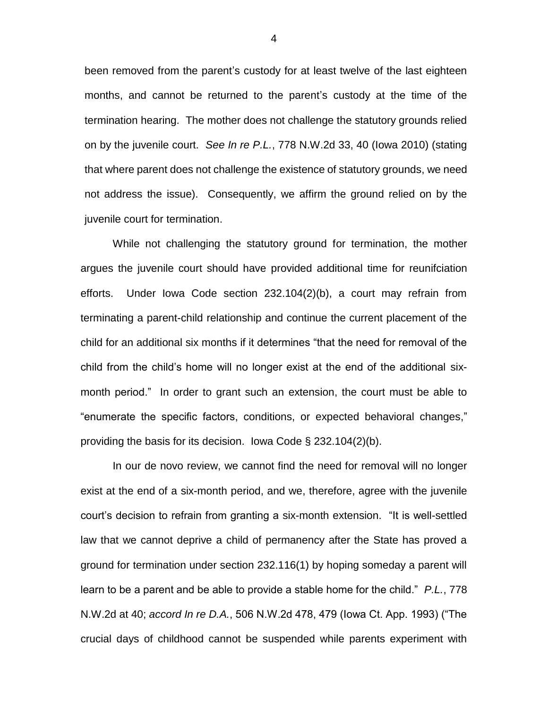been removed from the parent's custody for at least twelve of the last eighteen months, and cannot be returned to the parent's custody at the time of the termination hearing. The mother does not challenge the statutory grounds relied on by the juvenile court. *See In re P.L.*, 778 N.W.2d 33, 40 (Iowa 2010) (stating that where parent does not challenge the existence of statutory grounds, we need not address the issue). Consequently, we affirm the ground relied on by the juvenile court for termination.

While not challenging the statutory ground for termination, the mother argues the juvenile court should have provided additional time for reunifciation efforts. Under Iowa Code section 232.104(2)(b), a court may refrain from terminating a parent-child relationship and continue the current placement of the child for an additional six months if it determines "that the need for removal of the child from the child's home will no longer exist at the end of the additional sixmonth period." In order to grant such an extension, the court must be able to "enumerate the specific factors, conditions, or expected behavioral changes," providing the basis for its decision. Iowa Code § 232.104(2)(b).

In our de novo review, we cannot find the need for removal will no longer exist at the end of a six-month period, and we, therefore, agree with the juvenile court's decision to refrain from granting a six-month extension. "It is well-settled law that we cannot deprive a child of permanency after the State has proved a ground for termination under section 232.116(1) by hoping someday a parent will learn to be a parent and be able to provide a stable home for the child." *P.L.*, 778 N.W.2d at 40; *accord In re D.A.*, 506 N.W.2d 478, 479 (Iowa Ct. App. 1993) ("The crucial days of childhood cannot be suspended while parents experiment with

4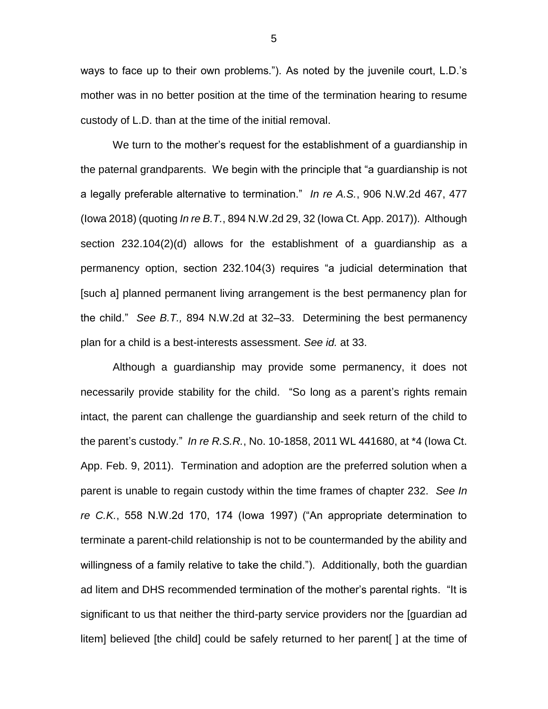ways to face up to their own problems."). As noted by the juvenile court, L.D.'s mother was in no better position at the time of the termination hearing to resume custody of L.D. than at the time of the initial removal.

We turn to the mother's request for the establishment of a guardianship in the paternal grandparents. We begin with the principle that "a guardianship is not a legally preferable alternative to termination." *In re A.S.*, 906 N.W.2d 467, 477 (Iowa 2018) (quoting *In re B.T.*, 894 N.W.2d 29, 32 (Iowa Ct. App. 2017)). Although section 232.104(2)(d) allows for the establishment of a guardianship as a permanency option, section 232.104(3) requires "a judicial determination that [such a] planned permanent living arrangement is the best permanency plan for the child." *See B.T.,* 894 N.W.2d at 32–33. Determining the best permanency plan for a child is a best-interests assessment. *See id.* at 33.

Although a guardianship may provide some permanency, it does not necessarily provide stability for the child. "So long as a parent's rights remain intact, the parent can challenge the guardianship and seek return of the child to the parent's custody." *In re R.S.R.*, No. 10-1858, 2011 WL 441680, at \*4 (Iowa Ct. App. Feb. 9, 2011). Termination and adoption are the preferred solution when a parent is unable to regain custody within the time frames of chapter 232. *See In re C.K.*, 558 N.W.2d 170, 174 (Iowa 1997) ("An appropriate determination to terminate a parent-child relationship is not to be countermanded by the ability and willingness of a family relative to take the child."). Additionally, both the guardian ad litem and DHS recommended termination of the mother's parental rights. "It is significant to us that neither the third-party service providers nor the [guardian ad litem] believed [the child] could be safely returned to her parent[ ] at the time of